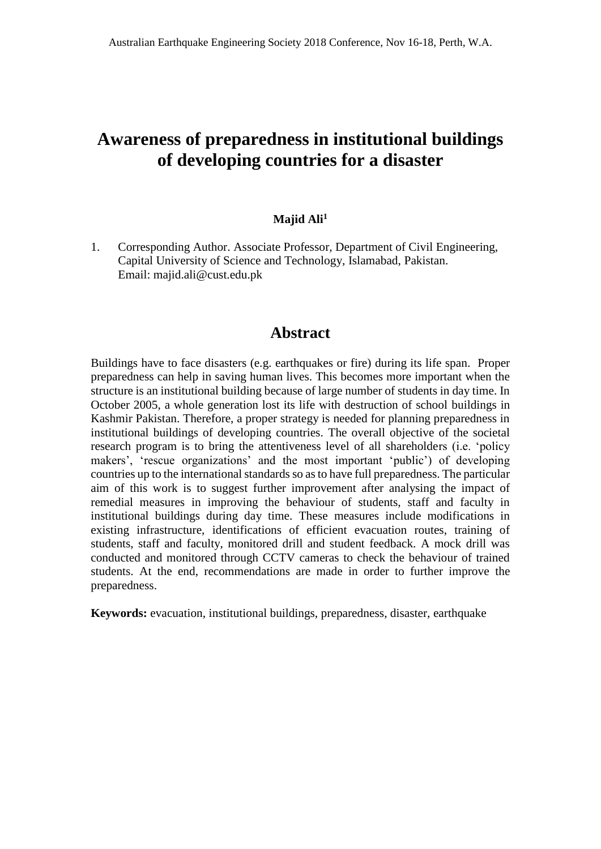# **Awareness of preparedness in institutional buildings of developing countries for a disaster**

### **Majid Ali<sup>1</sup>**

1. Corresponding Author. Associate Professor, Department of Civil Engineering, Capital University of Science and Technology, Islamabad, Pakistan. Email: majid.ali@cust.edu.pk

# **Abstract**

Buildings have to face disasters (e.g. earthquakes or fire) during its life span. Proper preparedness can help in saving human lives. This becomes more important when the structure is an institutional building because of large number of students in day time. In October 2005, a whole generation lost its life with destruction of school buildings in Kashmir Pakistan. Therefore, a proper strategy is needed for planning preparedness in institutional buildings of developing countries. The overall objective of the societal research program is to bring the attentiveness level of all shareholders (i.e. 'policy makers', 'rescue organizations' and the most important 'public') of developing countries up to the international standards so as to have full preparedness. The particular aim of this work is to suggest further improvement after analysing the impact of remedial measures in improving the behaviour of students, staff and faculty in institutional buildings during day time. These measures include modifications in existing infrastructure, identifications of efficient evacuation routes, training of students, staff and faculty, monitored drill and student feedback. A mock drill was conducted and monitored through CCTV cameras to check the behaviour of trained students. At the end, recommendations are made in order to further improve the preparedness.

**Keywords:** evacuation, institutional buildings, preparedness, disaster, earthquake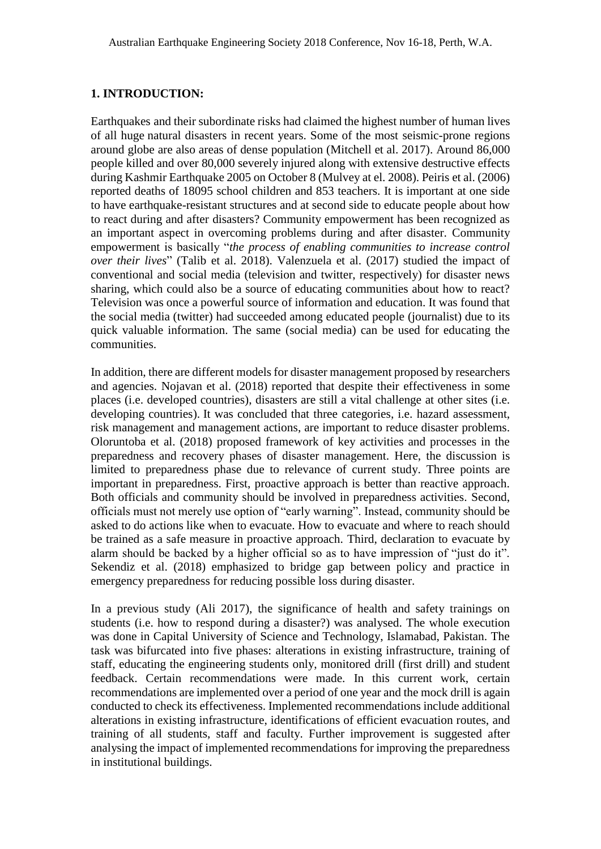#### **1. INTRODUCTION:**

[Earthquakes](https://www.sciencedirect.com/topics/earth-and-planetary-sciences/earthquake) and their subordinate risks had claimed the highest number of human lives of all huge [natural disasters](https://www.sciencedirect.com/topics/earth-and-planetary-sciences/natural-disaster) in recent years. Some of the most seismic-prone regions around globe are also areas of dense population (Mitchell et al. 2017). Around 86,000 people killed and over 80,000 severely injured along with extensive destructive effects during Kashmir Earthquake 2005 on October 8 (Mulvey at el. 2008). Peiris et al. (2006) reported deaths of 18095 school children and 853 teachers. It is important at one side to have earthquake-resistant structures and at second side to educate people about how to react during and after disasters? Community empowerment has been recognized as an important aspect in overcoming problems during and after disaster. Community empowerment is basically "*the process of enabling communities to increase control over their lives*" (Talib et al. 2018). Valenzuela et al. (2017) studied the impact of conventional and social media (television and twitter, respectively) for disaster news sharing, which could also be a source of educating communities about how to react? Television was once a powerful source of information and education. It was found that the social media (twitter) had succeeded among educated people (journalist) due to its quick valuable information. The same (social media) can be used for educating the communities.

In addition, there are different models for disaster management proposed by researchers and agencies. Nojavan et al. (2018) reported that despite their effectiveness in some places (i.e. developed countries), disasters are still a vital challenge at other sites (i.e. developing countries). It was concluded that three categories, i.e. hazard assessment, risk management and management actions, are important to reduce disaster problems. Oloruntoba et al. (2018) proposed framework of key activities and processes in the preparedness and recovery phases of disaster management. Here, the discussion is limited to preparedness phase due to relevance of current study. Three points are important in preparedness. First, proactive approach is better than reactive approach. Both officials and community should be involved in preparedness activities. Second, officials must not merely use option of "early warning". Instead, community should be asked to do actions like when to evacuate. How to evacuate and where to reach should be trained as a safe measure in proactive approach. Third, declaration to evacuate by alarm should be backed by a higher official so as to have impression of "just do it". Sekendiz et al. (2018) emphasized to bridge gap between policy and practice in emergency preparedness for reducing possible loss during disaster.

In a previous study (Ali 2017), the significance of health and safety trainings on students (i.e. how to respond during a disaster?) was analysed. The whole execution was done in Capital University of Science and Technology, Islamabad, Pakistan. The task was bifurcated into five phases: alterations in existing infrastructure, training of staff, educating the engineering students only, monitored drill (first drill) and student feedback. Certain recommendations were made. In this current work, certain recommendations are implemented over a period of one year and the mock drill is again conducted to check its effectiveness. Implemented recommendations include additional alterations in existing infrastructure, identifications of efficient evacuation routes, and training of all students, staff and faculty. Further improvement is suggested after analysing the impact of implemented recommendations for improving the preparedness in institutional buildings.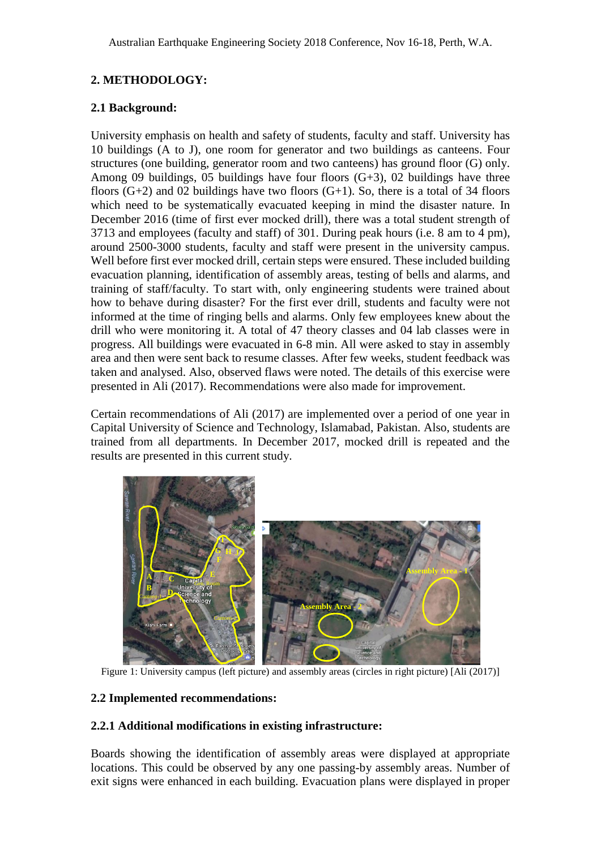# **2. METHODOLOGY:**

# **2.1 Background:**

University emphasis on health and safety of students, faculty and staff. University has 10 buildings (A to J), one room for generator and two buildings as canteens. Four structures (one building, generator room and two canteens) has ground floor (G) only. Among 09 buildings, 05 buildings have four floors  $(G+3)$ , 02 buildings have three floors  $(G+2)$  and 02 buildings have two floors  $(G+1)$ . So, there is a total of 34 floors which need to be systematically evacuated keeping in mind the disaster nature. In December 2016 (time of first ever mocked drill), there was a total student strength of 3713 and employees (faculty and staff) of 301. During peak hours (i.e. 8 am to 4 pm), around 2500-3000 students, faculty and staff were present in the university campus. Well before first ever mocked drill, certain steps were ensured. These included building evacuation planning, identification of assembly areas, testing of bells and alarms, and training of staff/faculty. To start with, only engineering students were trained about how to behave during disaster? For the first ever drill, students and faculty were not informed at the time of ringing bells and alarms. Only few employees knew about the drill who were monitoring it. A total of 47 theory classes and 04 lab classes were in progress. All buildings were evacuated in 6-8 min. All were asked to stay in assembly area and then were sent back to resume classes. After few weeks, student feedback was taken and analysed. Also, observed flaws were noted. The details of this exercise were presented in Ali (2017). Recommendations were also made for improvement.

Certain recommendations of Ali (2017) are implemented over a period of one year in Capital University of Science and Technology, Islamabad, Pakistan. Also, students are trained from all departments. In December 2017, mocked drill is repeated and the results are presented in this current study.



Figure 1: University campus (left picture) and assembly areas (circles in right picture) [Ali (2017)]

# **2.2 Implemented recommendations:**

# **2.2.1 Additional modifications in existing infrastructure:**

Boards showing the identification of assembly areas were displayed at appropriate locations. This could be observed by any one passing-by assembly areas. Number of exit signs were enhanced in each building. Evacuation plans were displayed in proper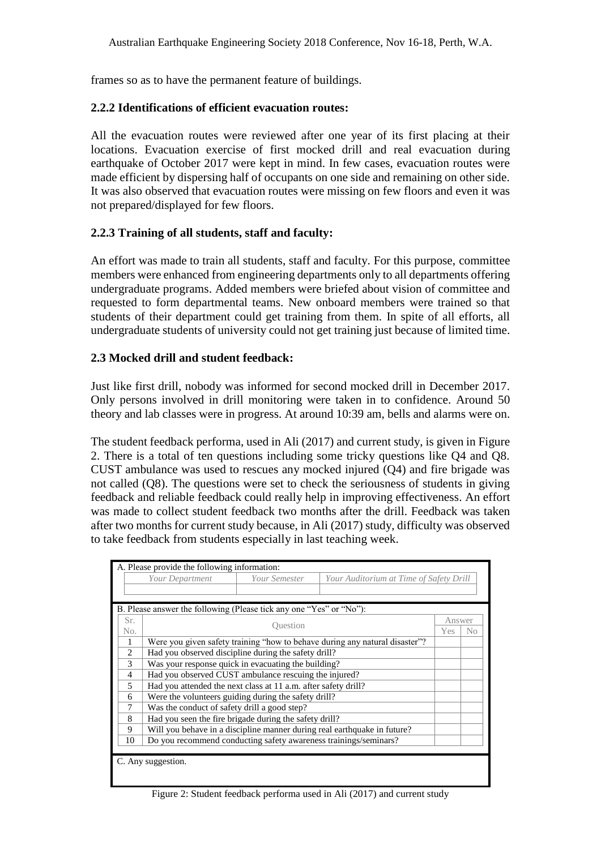frames so as to have the permanent feature of buildings.

### **2.2.2 Identifications of efficient evacuation routes:**

All the evacuation routes were reviewed after one year of its first placing at their locations. Evacuation exercise of first mocked drill and real evacuation during earthquake of October 2017 were kept in mind. In few cases, evacuation routes were made efficient by dispersing half of occupants on one side and remaining on other side. It was also observed that evacuation routes were missing on few floors and even it was not prepared/displayed for few floors.

# **2.2.3 Training of all students, staff and faculty:**

An effort was made to train all students, staff and faculty. For this purpose, committee members were enhanced from engineering departments only to all departments offering undergraduate programs. Added members were briefed about vision of committee and requested to form departmental teams. New onboard members were trained so that students of their department could get training from them. In spite of all efforts, all undergraduate students of university could not get training just because of limited time.

### **2.3 Mocked drill and student feedback:**

Just like first drill, nobody was informed for second mocked drill in December 2017. Only persons involved in drill monitoring were taken in to confidence. Around 50 theory and lab classes were in progress. At around 10:39 am, bells and alarms were on.

The student feedback performa, used in Ali (2017) and current study, is given in Figure 2. There is a total of ten questions including some tricky questions like Q4 and Q8. CUST ambulance was used to rescues any mocked injured (Q4) and fire brigade was not called (Q8). The questions were set to check the seriousness of students in giving feedback and reliable feedback could really help in improving effectiveness. An effort was made to collect student feedback two months after the drill. Feedback was taken after two months for current study because, in Ali (2017) study, difficulty was observed to take feedback from students especially in last teaching week.

| A. Please provide the following information:                        |                                                                             |  |        |          |
|---------------------------------------------------------------------|-----------------------------------------------------------------------------|--|--------|----------|
|                                                                     | Your Department<br>Your Semester<br>Your Auditorium at Time of Safety Drill |  |        |          |
|                                                                     |                                                                             |  |        |          |
|                                                                     |                                                                             |  |        |          |
| B. Please answer the following (Please tick any one "Yes" or "No"): |                                                                             |  |        |          |
| Sr.                                                                 | <b>Ouestion</b>                                                             |  | Answer |          |
| No.                                                                 |                                                                             |  |        | $\rm No$ |
| 1                                                                   | Were you given safety training "how to behave during any natural disaster"? |  |        |          |
| $\overline{2}$                                                      | Had you observed discipline during the safety drill?                        |  |        |          |
| 3                                                                   | Was your response quick in evacuating the building?                         |  |        |          |
| $\overline{4}$                                                      | Had you observed CUST ambulance rescuing the injured?                       |  |        |          |
| 5                                                                   | Had you attended the next class at 11 a.m. after safety drill?              |  |        |          |
| 6                                                                   | Were the volunteers guiding during the safety drill?                        |  |        |          |
| 7                                                                   | Was the conduct of safety drill a good step?                                |  |        |          |
| 8                                                                   | Had you seen the fire brigade during the safety drill?                      |  |        |          |
| 9                                                                   | Will you behave in a discipline manner during real earthquake in future?    |  |        |          |
| 10                                                                  | Do you recommend conducting safety awareness trainings/seminars?            |  |        |          |
|                                                                     |                                                                             |  |        |          |
| C. Any suggestion.                                                  |                                                                             |  |        |          |
|                                                                     |                                                                             |  |        |          |

Figure 2: Student feedback performa used in Ali (2017) and current study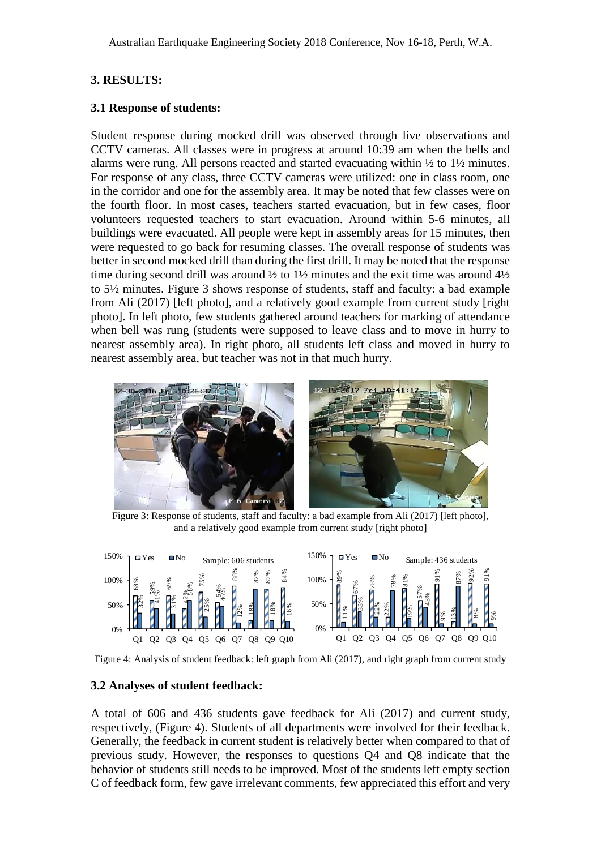# **3. RESULTS:**

#### **3.1 Response of students:**

Student response during mocked drill was observed through live observations and CCTV cameras. All classes were in progress at around 10:39 am when the bells and alarms were rung. All persons reacted and started evacuating within ½ to 1½ minutes. For response of any class, three CCTV cameras were utilized: one in class room, one in the corridor and one for the assembly area. It may be noted that few classes were on the fourth floor. In most cases, teachers started evacuation, but in few cases, floor volunteers requested teachers to start evacuation. Around within 5-6 minutes, all buildings were evacuated. All people were kept in assembly areas for 15 minutes, then were requested to go back for resuming classes. The overall response of students was better in second mocked drill than during the first drill. It may be noted that the response time during second drill was around  $\frac{1}{2}$  to  $\frac{1}{2}$  minutes and the exit time was around  $\frac{4}{2}$ to 5½ minutes. Figure 3 shows response of students, staff and faculty: a bad example from Ali (2017) [left photo], and a relatively good example from current study [right photo]. In left photo, few students gathered around teachers for marking of attendance when bell was rung (students were supposed to leave class and to move in hurry to nearest assembly area). In right photo, all students left class and moved in hurry to nearest assembly area, but teacher was not in that much hurry.



Figure 3: Response of students, staff and faculty: a bad example from Ali (2017) [left photo], and a relatively good example from current study [right photo]



Figure 4: Analysis of student feedback: left graph from Ali (2017), and right graph from current study

#### **3.2 Analyses of student feedback:**

A total of 606 and 436 students gave feedback for Ali (2017) and current study, respectively, (Figure 4). Students of all departments were involved for their feedback. Generally, the feedback in current student is relatively better when compared to that of previous study. However, the responses to questions Q4 and Q8 indicate that the behavior of students still needs to be improved. Most of the students left empty section C of feedback form, few gave irrelevant comments, few appreciated this effort and very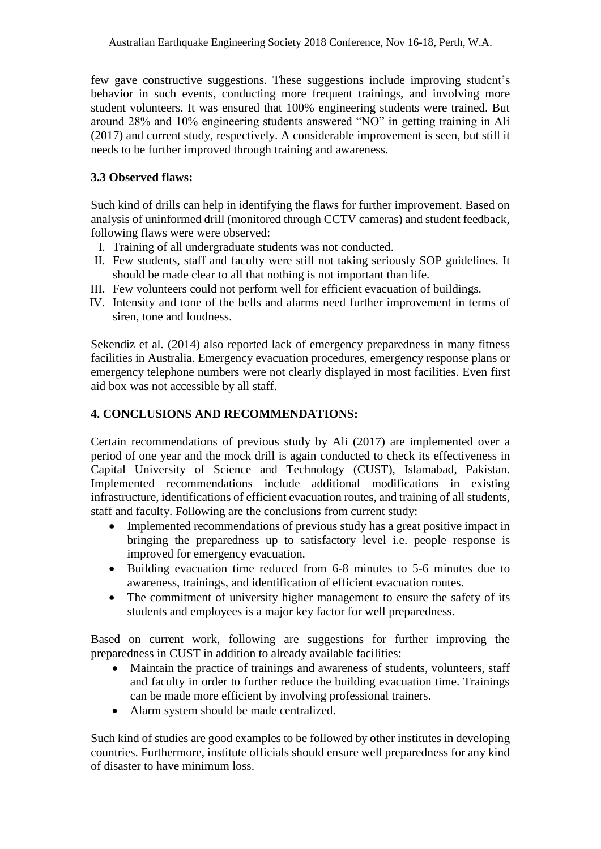few gave constructive suggestions. These suggestions include improving student's behavior in such events, conducting more frequent trainings, and involving more student volunteers. It was ensured that 100% engineering students were trained. But around 28% and 10% engineering students answered "NO" in getting training in Ali (2017) and current study, respectively. A considerable improvement is seen, but still it needs to be further improved through training and awareness.

# **3.3 Observed flaws:**

Such kind of drills can help in identifying the flaws for further improvement. Based on analysis of uninformed drill (monitored through CCTV cameras) and student feedback, following flaws were were observed:

- I. Training of all undergraduate students was not conducted.
- II. Few students, staff and faculty were still not taking seriously SOP guidelines. It should be made clear to all that nothing is not important than life.
- III. Few volunteers could not perform well for efficient evacuation of buildings.
- IV. Intensity and tone of the bells and alarms need further improvement in terms of siren, tone and loudness.

Sekendiz et al. (2014) also reported lack of emergency preparedness in many fitness facilities in Australia. Emergency evacuation procedures, emergency response plans or emergency telephone numbers were not clearly displayed in most facilities. Even first aid box was not accessible by all staff.

# **4. CONCLUSIONS AND RECOMMENDATIONS:**

Certain recommendations of previous study by Ali (2017) are implemented over a period of one year and the mock drill is again conducted to check its effectiveness in Capital University of Science and Technology (CUST), Islamabad, Pakistan. Implemented recommendations include additional modifications in existing infrastructure, identifications of efficient evacuation routes, and training of all students, staff and faculty. Following are the conclusions from current study:

- Implemented recommendations of previous study has a great positive impact in bringing the preparedness up to satisfactory level i.e. people response is improved for emergency evacuation.
- Building evacuation time reduced from 6-8 minutes to 5-6 minutes due to awareness, trainings, and identification of efficient evacuation routes.
- The commitment of university higher management to ensure the safety of its students and employees is a major key factor for well preparedness.

Based on current work, following are suggestions for further improving the preparedness in CUST in addition to already available facilities:

- Maintain the practice of trainings and awareness of students, volunteers, staff and faculty in order to further reduce the building evacuation time. Trainings can be made more efficient by involving professional trainers.
- Alarm system should be made centralized.

Such kind of studies are good examples to be followed by other institutes in developing countries. Furthermore, institute officials should ensure well preparedness for any kind of disaster to have minimum loss.